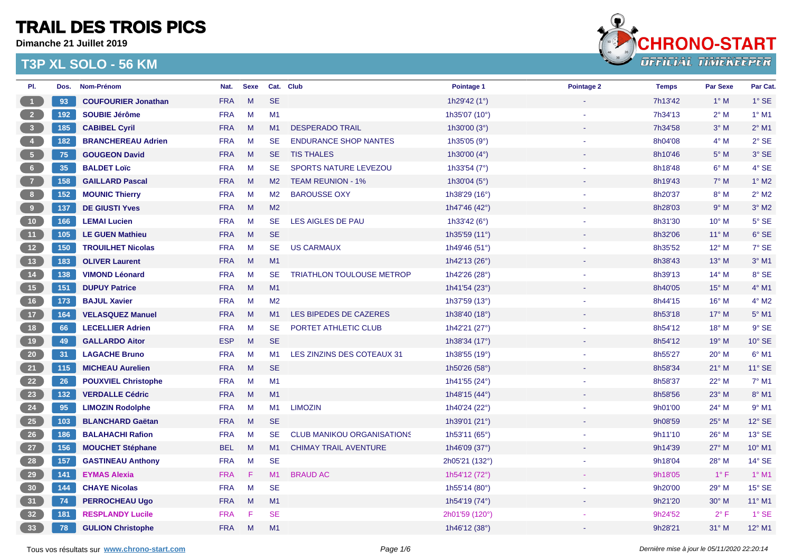**Dimanche 21 Juillet 2019**



| PI.                                                            | Dos. | Nom-Prénom                 | Nat.       | <b>Sexe</b> |                | Cat. Club                         | Pointage 1             | Pointage 2 | <b>Temps</b> | <b>Par Sexe</b> | Par Cat.        |
|----------------------------------------------------------------|------|----------------------------|------------|-------------|----------------|-----------------------------------|------------------------|------------|--------------|-----------------|-----------------|
| $-1$                                                           | 93   | <b>COUFOURIER Jonathan</b> | <b>FRA</b> | M           | <b>SE</b>      |                                   | 1h29'42 (1°)           |            | 7h13'42      | $1^\circ$ M     | $1^\circ$ SE    |
| $\overline{\mathbf{2}}$                                        | 192  | <b>SOUBIE Jérôme</b>       | <b>FRA</b> | M           | M1             |                                   | 1h35'07 (10°)          |            | 7h34'13      | $2^{\circ}$ M   | $1^\circ$ M1    |
| $\overline{\phantom{a}}$ 3                                     | 185  | <b>CABIBEL Cyril</b>       | <b>FRA</b> | M           | M1             | <b>DESPERADO TRAIL</b>            | 1h30'00 $(3°)$         |            | 7h34'58      | $3^\circ$ M     | $2^{\circ}$ M1  |
| $\begin{array}{ c c } \hline 4 \\ \hline \end{array}$          | 182  | <b>BRANCHEREAU Adrien</b>  | <b>FRA</b> | M           | <b>SE</b>      | <b>ENDURANCE SHOP NANTES</b>      | 1h35'05 (9°)           |            | 8h04'08      | $4^\circ$ M     | $2°$ SE         |
| 5 <sub>5</sub>                                                 | 75   | <b>GOUGEON David</b>       | <b>FRA</b> | M           | SE.            | <b>TIS THALES</b>                 | 1h30'00 (4°)           |            | 8h10'46      | $5^\circ$ M     | 3° SE           |
| 6 <sub>1</sub>                                                 | 35   | <b>BALDET Loïc</b>         | <b>FRA</b> | M           | <b>SE</b>      | <b>SPORTS NATURE LEVEZOU</b>      | 1h33'54 $(7°)$         |            | 8h18'48      | $6^\circ$ M     | $4^\circ$ SE    |
| $\begin{array}{c} \begin{array}{c} \end{array} \end{array}$    | 158  | <b>GAILLARD Pascal</b>     | <b>FRA</b> | M           | M2             | <b>TEAM REUNION - 1%</b>          | 1h30'04 $(5^{\circ})$  |            | 8h19'43      | $7^\circ$ M     | $1^\circ$ M2    |
| 8 <sup>1</sup>                                                 | 152  | <b>MOUNIC Thierry</b>      | <b>FRA</b> | M           | M <sub>2</sub> | <b>BAROUSSE OXY</b>               | 1h38'29 (16°)          |            | 8h20'37      | $8^\circ$ M     | $2^{\circ}$ M2  |
| 9                                                              | 137  | <b>DE GIUSTI Yves</b>      | <b>FRA</b> | M           | M <sub>2</sub> |                                   | 1h47'46 $(42^{\circ})$ |            | 8h28'03      | 9° M            | $3°$ M2         |
| 10                                                             | 166  | <b>LEMAI Lucien</b>        | <b>FRA</b> | M           | <b>SE</b>      | LES AIGLES DE PAU                 | 1h33'42 $(6^{\circ})$  |            | 8h31'30      | $10^{\circ}$ M  | $5^\circ$ SE    |
| (11)                                                           | 105  | <b>LE GUEN Mathieu</b>     | <b>FRA</b> | M           | <b>SE</b>      |                                   | 1h35'59 (11°)          |            | 8h32'06      | $11^{\circ}$ M  | 6° SE           |
| $\begin{array}{ c c } \hline \hline \hline \hline \end{array}$ | 150  | <b>TROUILHET Nicolas</b>   | <b>FRA</b> | M           | <b>SE</b>      | <b>US CARMAUX</b>                 | 1h49'46 (51°)          |            | 8h35'52      | $12^{\circ}$ M  | 7° SE           |
| 13                                                             | 183  | <b>OLIVER Laurent</b>      | <b>FRA</b> | M           | M1             |                                   | 1h42'13 (26°)          |            | 8h38'43      | $13^\circ$ M    | $3°$ M1         |
| (14)                                                           | 138  | <b>VIMOND Léonard</b>      | <b>FRA</b> | $M_{\odot}$ | <b>SE</b>      | <b>TRIATHLON TOULOUSE METROP</b>  | 1h42'26 (28°)          |            | 8h39'13      | $14^{\circ}$ M  | 8° SE           |
| (15)                                                           | 151  | <b>DUPUY Patrice</b>       | <b>FRA</b> | M           | M1             |                                   | 1h41'54 (23°)          |            | 8h40'05      | $15^{\circ}$ M  | $4°$ M1         |
| $16$                                                           | 173  | <b>BAJUL Xavier</b>        | <b>FRA</b> | M           | M <sub>2</sub> |                                   | 1h37'59 (13°)          |            | 8h44'15      | $16^{\circ}$ M  | $4^{\circ}$ M2  |
| $-17$                                                          | 164  | <b>VELASQUEZ Manuel</b>    | <b>FRA</b> | M           | M1             | LES BIPEDES DE CAZERES            | 1h38'40 (18°)          |            | 8h53'18      | $17^\circ$ M    | $5^\circ$ M1    |
| 18                                                             | 66   | <b>LECELLIER Adrien</b>    | <b>FRA</b> | M           | SE.            | PORTET ATHLETIC CLUB              | 1h42'21 (27°)          |            | 8h54'12      | $18^{\circ}$ M  | $9°$ SE         |
| 19                                                             | 49   | <b>GALLARDO Aitor</b>      | <b>ESP</b> | M           | <b>SE</b>      |                                   | 1h38'34 (17°)          |            | 8h54'12      | $19°$ M         | 10° SE          |
| 20                                                             | 31   | <b>LAGACHE Bruno</b>       | <b>FRA</b> | M           | M1             | LES ZINZINS DES COTEAUX 31        | 1h38'55 (19°)          |            | 8h55'27      | $20^\circ$ M    | $6°$ M1         |
| 21                                                             | 115  | <b>MICHEAU Aurelien</b>    | <b>FRA</b> | M           | <b>SE</b>      |                                   | 1h50'26 (58°)          |            | 8h58'34      | $21^{\circ}$ M  | 11° SE          |
| 22                                                             | 26   | <b>POUXVIEL Christophe</b> | <b>FRA</b> | M           | M1             |                                   | 1h41'55 (24°)          |            | 8h58'37      | $22^{\circ}$ M  | $7°$ M1         |
| 23                                                             | 132  | <b>VERDALLE Cédric</b>     | <b>FRA</b> | M           | M1             |                                   | 1h48'15 (44°)          |            | 8h58'56      | $23^\circ$ M    | 8° M1           |
| 24                                                             | 95   | <b>LIMOZIN Rodolphe</b>    | <b>FRA</b> | M           | M1             | <b>LIMOZIN</b>                    | 1h40'24 (22°)          |            | 9h01'00      | $24^{\circ}$ M  | $9°$ M1         |
| 25                                                             | 103  | <b>BLANCHARD Gaëtan</b>    | <b>FRA</b> | M           | <b>SE</b>      |                                   | 1h39'01 (21°)          |            | 9h08'59      | $25^{\circ}$ M  | 12° SE          |
| 26                                                             | 186  | <b>BALAHACHI Rafion</b>    | <b>FRA</b> | M           | <b>SE</b>      | <b>CLUB MANIKOU ORGANISATIONS</b> | 1h53'11 (65°)          |            | 9h11'10      | $26^{\circ}$ M  | 13° SE          |
| 27                                                             | 156  | <b>MOUCHET Stéphane</b>    | <b>BEL</b> | M           | M1             | <b>CHIMAY TRAIL AVENTURE</b>      | 1h46'09 (37°)          |            | 9h14'39      | $27^\circ$ M    | 10° M1          |
| 28                                                             | 157  | <b>GASTINEAU Anthony</b>   | <b>FRA</b> | M           | <b>SE</b>      |                                   | 2h05'21 (132°)         |            | 9h18'04      | 28° M           | 14° SE          |
| 29                                                             | 141  | <b>EYMAS Alexia</b>        | <b>FRA</b> | F           | M1             | <b>BRAUD AC</b>                   | 1h54'12 (72°)          |            | 9h18'05      | $1^{\circ}$ F   | $1^\circ$ M1    |
| 30                                                             | 144  | <b>CHAYE Nicolas</b>       | <b>FRA</b> | M           | <b>SE</b>      |                                   | 1h55'14 (80°)          |            | 9h20'00      | 29° M           | 15° SE          |
| 31                                                             | 74   | <b>PERROCHEAU Ugo</b>      | <b>FRA</b> | M           | M1             |                                   | 1h54'19 (74°)          |            | 9h21'20      | $30^\circ$ M    | $11^{\circ}$ M1 |
| 32                                                             | 181  | <b>RESPLANDY Lucile</b>    | <b>FRA</b> | F           | <b>SE</b>      |                                   | 2h01'59 (120°)         |            | 9h24'52      | $2^{\circ}$ F   | $1^\circ$ SE    |
| 33 <sup>°</sup>                                                | 78   | <b>GULION Christophe</b>   | <b>FRA</b> | M           | M1             |                                   | 1h46'12 (38°)          |            | 9h28'21      | $31^\circ$ M    | 12° M1          |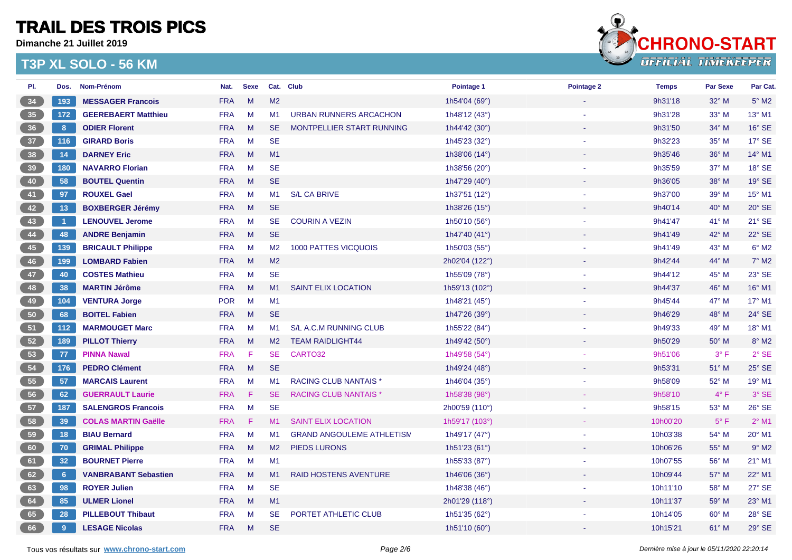**Dimanche 21 Juillet 2019**



| PI.             | Dos.        | Nom-Prénom                  | Nat.       | <b>Sexe</b> |                | Cat. Club                        | Pointage 1               | Pointage 2 | <b>Temps</b> | <b>Par Sexe</b> | Par Cat.            |
|-----------------|-------------|-----------------------------|------------|-------------|----------------|----------------------------------|--------------------------|------------|--------------|-----------------|---------------------|
| 34              | 193         | <b>MESSAGER Francois</b>    | <b>FRA</b> | M           | M <sub>2</sub> |                                  | 1h54'04 (69°)            |            | 9h31'18      | 32° M           | $5^\circ$ M2        |
| 35              | 172         | <b>GEEREBAERT Matthieu</b>  | <b>FRA</b> | M           | M1             | <b>URBAN RUNNERS ARCACHON</b>    | 1h48'12 (43°)            |            | 9h31'28      | 33° M           | $13^{\circ}$ M1     |
| 36              | 8           | <b>ODIER Florent</b>        | <b>FRA</b> | M           | <b>SE</b>      | MONTPELLIER START RUNNING        | 1h44'42 (30°)            |            | 9h31'50      | 34° M           | 16° SE              |
| 37              | 116         | <b>GIRARD Boris</b>         | <b>FRA</b> | M           | <b>SE</b>      |                                  | 1h45'23 (32°)            |            | 9h32'23      | 35° M           | $17^\circ$ SE       |
| 38              | 14          | <b>DARNEY Eric</b>          | <b>FRA</b> | M           | M1             |                                  | 1h38'06 (14°)            |            | 9h35'46      | 36° M           | $14^{\circ}$ M1     |
| 39              | 180         | <b>NAVARRO Florian</b>      | <b>FRA</b> | M           | <b>SE</b>      |                                  | 1h38'56 (20°)            |            | 9h35'59      | 37° M           | 18° SE              |
| 40              | 58          | <b>BOUTEL Quentin</b>       | <b>FRA</b> | M           | <b>SE</b>      |                                  | 1h47'29 (40°)            |            | 9h36'05      | 38° M           | $19°$ SE            |
| 41              | 97          | <b>ROUXEL Gael</b>          | <b>FRA</b> | M           | M1             | <b>S/L CA BRIVE</b>              | 1h37'51 (12°)            |            | 9h37'00      | 39° M           | $15^{\circ}$ M1     |
| 42              | 13          | <b>BOXBERGER Jérémy</b>     | <b>FRA</b> | M           | <b>SE</b>      |                                  | 1h38'26 (15°)            |            | 9h40'14      | $40^{\circ}$ M  | $20^\circ$ SE       |
| 43              | $\vert$ 1   | <b>LENOUVEL Jerome</b>      | <b>FRA</b> | M           | <b>SE</b>      | <b>COURIN A VEZIN</b>            | 1h50'10 (56°)            |            | 9h41'47      | 41° M           | 21° SE              |
| 44              | 48          | <b>ANDRE Benjamin</b>       | <b>FRA</b> | M           | <b>SE</b>      |                                  | 1h47'40 (41°)            |            | 9h41'49      | 42° M           | 22° SE              |
| 45              | 139         | <b>BRICAULT Philippe</b>    | <b>FRA</b> | M           | M <sub>2</sub> | <b>1000 PATTES VICQUOIS</b>      | 1h50'03 (55°)            |            | 9h41'49      | 43° M           | $6°$ M <sub>2</sub> |
| 46              | 199         | <b>LOMBARD Fabien</b>       | <b>FRA</b> | M           | M2             |                                  | 2h02'04 (122°)           |            | 9h42'44      | 44° M           | $7^\circ$ M2        |
| 47              | 40          | <b>COSTES Mathieu</b>       | <b>FRA</b> | M           | <b>SE</b>      |                                  | 1h55'09 (78°)            |            | 9h44'12      | 45° M           | 23° SE              |
| 48              | 38          | <b>MARTIN Jérôme</b>        | <b>FRA</b> | M           | M1             | <b>SAINT ELIX LOCATION</b>       | 1h59'13 (102°)           |            | 9h44'37      | 46° M           | $16^{\circ}$ M1     |
| 49              | 104         | <b>VENTURA Jorge</b>        | <b>POR</b> | M           | M1             |                                  | 1h48'21 (45°)            |            | 9h45'44      | 47° M           | 17° M1              |
| 50 <sub>2</sub> | 68          | <b>BOITEL Fabien</b>        | <b>FRA</b> | M           | <b>SE</b>      |                                  | 1h47'26 (39°)            |            | 9h46'29      | 48° M           | 24° SE              |
| 51              | 112         | <b>MARMOUGET Marc</b>       | <b>FRA</b> | M           | M1             | S/L A.C.M RUNNING CLUB           | 1h55'22 (84°)            |            | 9h49'33      | 49° M           | 18° M1              |
| 52              | 189         | <b>PILLOT Thierry</b>       | <b>FRA</b> | M           | M <sub>2</sub> | <b>TEAM RAIDLIGHT44</b>          | 1h49'42 (50°)            |            | 9h50'29      | $50^\circ$ M    | $8^\circ$ M2        |
| 53              | 77          | <b>PINNA Nawal</b>          | <b>FRA</b> | F           | <b>SE</b>      | CARTO32                          | 1h49'58 (54°)            |            | 9h51'06      | $3^{\circ}$ F   | $2°$ SE             |
| 54              | 176         | <b>PEDRO Clément</b>        | <b>FRA</b> | M           | <b>SE</b>      |                                  | 1h49'24 (48°)            |            | 9h53'31      | 51° M           | 25° SE              |
| 55              | 57          | <b>MARCAIS Laurent</b>      | <b>FRA</b> | M           | M1             | <b>RACING CLUB NANTAIS*</b>      | 1h46'04 (35 $^{\circ}$ ) |            | 9h58'09      | 52° M           | $19^{\circ}$ M1     |
| 56              | 62          | <b>GUERRAULT Laurie</b>     | <b>FRA</b> | F           | SE.            | <b>RACING CLUB NANTAIS*</b>      | 1h58'38 (98°)            |            | 9h58'10      | $4^{\circ}$ F   | 3° SE               |
| 57              | 187         | <b>SALENGROS Francois</b>   | <b>FRA</b> | M           | <b>SE</b>      |                                  | 2h00'59 (110°)           |            | 9h58'15      | $53^\circ$ M    | 26° SE              |
| 58              | 39          | <b>COLAS MARTIN Gaëlle</b>  | <b>FRA</b> | F           | M1             | <b>SAINT ELIX LOCATION</b>       | 1h59'17 (103°)           |            | 10h00'20     | $5^{\circ}$ F   | $2^{\circ}$ M1      |
| 59              | 18          | <b>BIAU Bernard</b>         | <b>FRA</b> | M           | M1             | <b>GRAND ANGOULEME ATHLETISM</b> | 1h49'17 $(47°)$          |            | 10h03'38     | 54° M           | 20° M1              |
| 60              | 70          | <b>GRIMAL Philippe</b>      | <b>FRA</b> | M           | M <sub>2</sub> | <b>PIEDS LURONS</b>              | 1h51'23 $(61°)$          |            | 10h06'26     | 55° M           | $9°$ M2             |
| 61              | 32          | <b>BOURNET Pierre</b>       | <b>FRA</b> | M           | M1             |                                  | 1h55'33 (87°)            |            | 10h07'55     | 56° M           | 21° M1              |
| 62              | $6^{\circ}$ | <b>VANBRABANT Sebastien</b> | <b>FRA</b> | M           | M1             | <b>RAID HOSTENS AVENTURE</b>     | 1h46'06 (36°)            |            | 10h09'44     | 57° M           | 22° M1              |
| 63              | 98          | <b>ROYER Julien</b>         | <b>FRA</b> | M           | <b>SE</b>      |                                  | 1h48'38 (46°)            |            | 10h11'10     | 58° M           | $27^\circ$ SE       |
| 64              | 85          | <b>ULMER Lionel</b>         | <b>FRA</b> | M           | M1             |                                  | 2h01'29 (118°)           |            | 10h11'37     | 59° M           | 23° M1              |
| 65              | 28          | <b>PILLEBOUT Thibaut</b>    | <b>FRA</b> | M           | <b>SE</b>      | PORTET ATHLETIC CLUB             | 1h51'35 (62°)            |            | 10h14'05     | 60° M           | 28° SE              |
| 66              | 9           | <b>LESAGE Nicolas</b>       | <b>FRA</b> | M           | <b>SE</b>      |                                  | 1h51'10 $(60^{\circ})$   |            | 10h15'21     | $61^\circ$ M    | 29° SE              |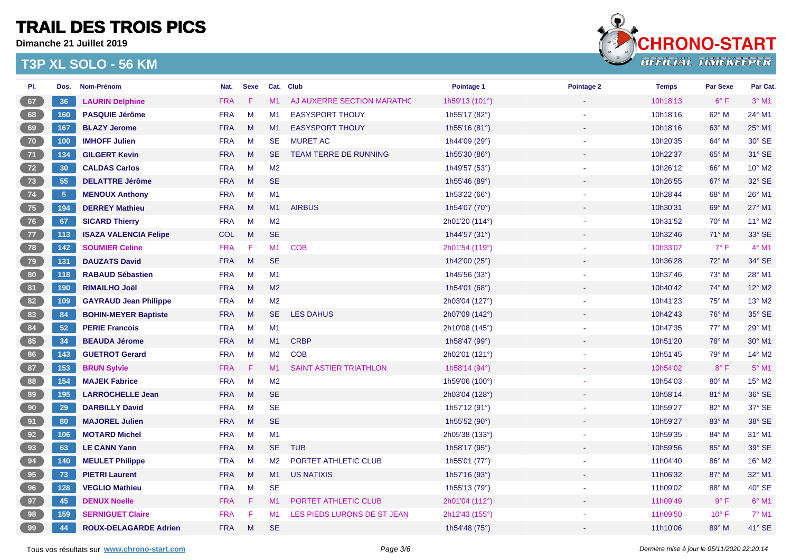**Dimanche 21 Juillet 2019**



| PI. | Dos.            | Nom-Prénom                   | Nat.       | <b>Sexe</b> |                | Cat. Club                     | Pointage 1     | Pointage 2 | <b>Temps</b> | <b>Par Sexe</b> | Par Cat.       |
|-----|-----------------|------------------------------|------------|-------------|----------------|-------------------------------|----------------|------------|--------------|-----------------|----------------|
| 67  | 36              | <b>LAURIN Delphine</b>       | <b>FRA</b> | F           | M1             | AJ AUXERRE SECTION MARATHO    | 1h59'13 (101°) |            | 10h18'13     | $6^{\circ}$ F   | $3°$ M1        |
| 68  | 160             | <b>PASQUIE Jérôme</b>        | <b>FRA</b> | M           | M1             | <b>EASYSPORT THOUY</b>        | 1h55'17 (82°)  |            | 10h18'16     | 62° M           | 24° M1         |
| 69  | 167             | <b>BLAZY Jerome</b>          | <b>FRA</b> | M           | M1             | <b>EASYSPORT THOUY</b>        | 1h55'16 (81°)  |            | 10h18'16     | 63° M           | 25° M1         |
| 70  | 100             | <b>IMHOFF Julien</b>         | <b>FRA</b> | M           | <b>SE</b>      | <b>MURET AC</b>               | 1h44'09 (29°)  |            | 10h20'35     | 64° M           | 30° SE         |
| 71  | 134             | <b>GILGERT Kevin</b>         | <b>FRA</b> | M           | SE.            | TEAM TERRE DE RUNNING         | 1h55'30 (86°)  |            | 10h22'37     | 65° M           | 31° SE         |
| 72  | 30 <sub>o</sub> | <b>CALDAS Carlos</b>         | <b>FRA</b> | M           | M2             |                               | 1h49'57 (53°)  |            | 10h26'12     | 66° M           | 10° M2         |
| 73  | 55              | <b>DELATTRE Jérôme</b>       | <b>FRA</b> | M           | <b>SE</b>      |                               | 1h55'46 (89°)  |            | 10h26'55     | 67° M           | 32° SE         |
| 74  | 5 <sub>5</sub>  | <b>MENOUX Anthony</b>        | <b>FRA</b> | M           | M1             |                               | 1h53'22 (66°)  |            | 10h28'44     | 68° M           | 26° M1         |
| 75  | 194             | <b>DERREY Mathieu</b>        | <b>FRA</b> | M           | M1             | <b>AIRBUS</b>                 | 1h54'07 (70°)  |            | 10h30'31     | 69° M           | $27^\circ$ M1  |
| 76  | 67              | <b>SICARD Thierry</b>        | <b>FRA</b> | M           | M <sub>2</sub> |                               | 2h01'20 (114°) |            | 10h31'52     | 70° M           | 11° M2         |
| 77  | 113             | <b>ISAZA VALENCIA Felipe</b> | COL        | M           | <b>SE</b>      |                               | 1h44'57 (31°)  |            | 10h32'46     | 71° M           | 33° SE         |
| 78  | 142             | <b>SOUMIER Celine</b>        | <b>FRA</b> | -F          | M1             | <b>COB</b>                    | 2h01'54 (119°) |            | 10h33'07     | $7^{\circ}$ F   | $4^{\circ}$ M1 |
| 79  | 131             | <b>DAUZATS David</b>         | <b>FRA</b> | M           | <b>SE</b>      |                               | 1h42'00 (25°)  |            | 10h36'28     | $72^{\circ}$ M  | 34° SE         |
| 80  | 118             | <b>RABAUD Sébastien</b>      | <b>FRA</b> | M           | M1             |                               | 1h45'56 (33°)  |            | 10h37'46     | 73° M           | 28° M1         |
| 81  | 190             | <b>RIMAILHO Joël</b>         | <b>FRA</b> | M           | M <sub>2</sub> |                               | 1h54'01 (68°)  |            | 10h40'42     | 74° M           | 12° M2         |
| 82  | 109             | <b>GAYRAUD Jean Philippe</b> | <b>FRA</b> | M           | M <sub>2</sub> |                               | 2h03'04 (127°) |            | 10h41'23     | 75° M           | 13° M2         |
| 83  | 84              | <b>BOHIN-MEYER Baptiste</b>  | <b>FRA</b> | M           | SE.            | <b>LES DAHUS</b>              | 2h07'09 (142°) |            | 10h42'43     | 76° M           | 35° SE         |
| 84  | 52              | <b>PERIE Francois</b>        | <b>FRA</b> | M           | M1             |                               | 2h10'08 (145°) |            | 10h47'35     | 77° M           | 29° M1         |
| 85  | 34              | <b>BEAUDA Jérome</b>         | <b>FRA</b> | M           | M1             | <b>CRBP</b>                   | 1h58'47 (99°)  |            | 10h51'20     | 78° M           | 30° M1         |
| 86  | 143             | <b>GUETROT Gerard</b>        | <b>FRA</b> | M           | M <sub>2</sub> | <b>COB</b>                    | 2h02'01 (121°) |            | 10h51'45     | 79° M           | 14° M2         |
| 87  | 153             | <b>BRUN Sylvie</b>           | <b>FRA</b> | -F          | M1             | <b>SAINT ASTIER TRIATHLON</b> | 1h58'14 (94°)  |            | 10h54'02     | $8^{\circ}$ F   | $5^{\circ}$ M1 |
| 88  | 154             | <b>MAJEK Fabrice</b>         | <b>FRA</b> | M           | M <sub>2</sub> |                               | 1h59'06 (100°) |            | 10h54'03     | 80° M           | 15° M2         |
| 89  | 195             | <b>LARROCHELLE Jean</b>      | <b>FRA</b> | M           | <b>SE</b>      |                               | 2h03'04 (128°) |            | 10h58'14     | 81° M           | 36° SE         |
| 90  | 29              | <b>DARBILLY David</b>        | <b>FRA</b> | M           | <b>SE</b>      |                               | 1h57'12 (91°)  |            | 10h59'27     | 82° M           | 37° SE         |
| 91  | 80              | <b>MAJOREL Julien</b>        | <b>FRA</b> | M           | <b>SE</b>      |                               | 1h55'52 (90°)  |            | 10h59'27     | 83° M           | 38° SE         |
| 92  | 106             | <b>MOTARD Michel</b>         | <b>FRA</b> | M           | M1             |                               | 2h05'38 (133°) |            | 10h59'35     | 84° M           | 31° M1         |
| 93  | 63              | <b>LE CANN Yann</b>          | <b>FRA</b> | M           | SE.            | <b>TUB</b>                    | 1h58'17 (95°)  |            | 10h59'56     | 85° M           | 39° SE         |
| 94  | 140             | <b>MEULET Philippe</b>       | <b>FRA</b> | M           | M <sub>2</sub> | PORTET ATHLETIC CLUB          | 1h55'01 (77°)  |            | 11h04'40     | 86° M           | 16° M2         |
| 95  | 73              | <b>PIETRI Laurent</b>        | <b>FRA</b> | M           | M1             | <b>US NATIXIS</b>             | 1h57'16 (93°)  |            | 11h06'32     | 87° M           | 32° M1         |
| 96  | 128             | <b>VEGLIO Mathieu</b>        | <b>FRA</b> | M           | <b>SE</b>      |                               | 1h55'13 (79°)  |            | 11h09'02     | 88° M           | 40° SE         |
| 97  | 45              | <b>DENUX Noelle</b>          | <b>FRA</b> | F           | M1             | PORTET ATHLETIC CLUB          | 2h01'04 (112°) |            | 11h09'49     | $9^\circ$ F     | 6° M1          |
| 98  | 159             | <b>SERNIGUET Claire</b>      | <b>FRA</b> | F           | M <sub>1</sub> | LES PIEDS LURONS DE ST JEAN   | 2h12'43 (155°) |            | 11h09'50     | $10^{\circ}$ F  | $7^\circ$ M1   |
| 99  | 44              | <b>ROUX-DELAGARDE Adrien</b> | <b>FRA</b> | M           | <b>SE</b>      |                               | 1h54'48 (75°)  |            | 11h10'06     | 89° M           | 41° SE         |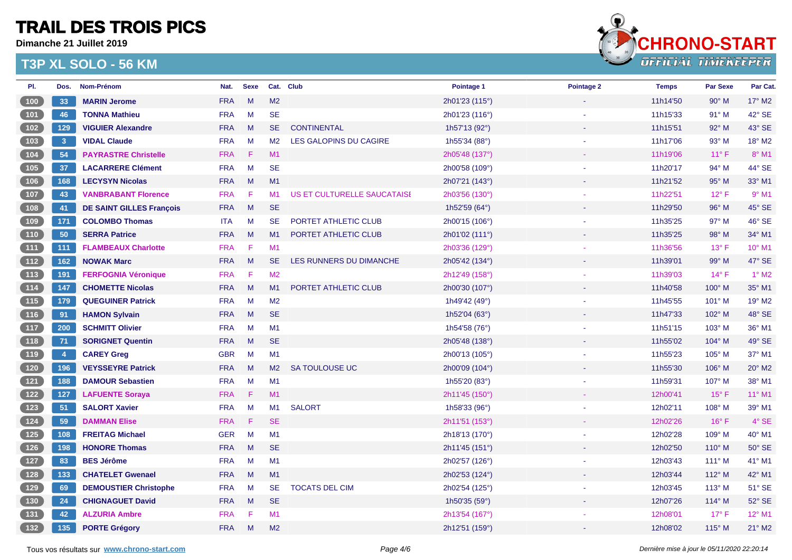**Dimanche 21 Juillet 2019**



| PI.                                                 | Dos.                 | Nom-Prénom                      | Nat.       | <b>Sexe</b> |                | Cat. Club                   | Pointage 1     | Pointage 2 | <b>Temps</b> | <b>Par Sexe</b> | Par Cat.        |
|-----------------------------------------------------|----------------------|---------------------------------|------------|-------------|----------------|-----------------------------|----------------|------------|--------------|-----------------|-----------------|
| (100)                                               | 33                   | <b>MARIN Jerome</b>             | <b>FRA</b> | M           | M <sub>2</sub> |                             | 2h01'23 (115°) |            | 11h14'50     | $90^\circ$ M    | $17^\circ$ M2   |
| 101                                                 | 46                   | <b>TONNA Mathieu</b>            | <b>FRA</b> | M           | <b>SE</b>      |                             | 2h01'23 (116°) |            | 11h15'33     | $91^\circ$ M    | 42° SE          |
| $\begin{array}{c} 102 \end{array}$                  | 129                  | <b>VIGUIER Alexandre</b>        | <b>FRA</b> | M           | <b>SE</b>      | <b>CONTINENTAL</b>          | 1h57'13 (92°)  |            | 11h15'51     | 92° M           | 43° SE          |
| $103$                                               | 3 <sup>°</sup>       | <b>VIDAL Claude</b>             | <b>FRA</b> | M           | M2             | LES GALOPINS DU CAGIRE      | 1h55'34 (88°)  |            | 11h17'06     | $93^\circ$ M    | 18° M2          |
| 104                                                 | 54                   | <b>PAYRASTRE Christelle</b>     | <b>FRA</b> | F           | M1             |                             | 2h05'48 (137°) |            | 11h19'06     | 11°F            | 8° M1           |
| $105$                                               | 37                   | <b>LACARRERE Clément</b>        | <b>FRA</b> | M           | <b>SE</b>      |                             | 2h00'58 (109°) |            | 11h20'17     | $94^\circ$ M    | 44° SE          |
| 106                                                 | 168                  | <b>LECYSYN Nicolas</b>          | <b>FRA</b> | M           | M1             |                             | 2h07'21 (143°) |            | 11h21'52     | 95° M           | 33° M1          |
| $107$                                               | 43                   | <b>VANBRABANT Florence</b>      | <b>FRA</b> | -F.         | M1             | US ET CULTURELLE SAUCATAISE | 2h03'56 (130°) |            | 11h22'51     | $12^{\circ}$ F  | $9°$ M1         |
| (108)                                               | 41                   | <b>DE SAINT GILLES François</b> | <b>FRA</b> | M           | <b>SE</b>      |                             | 1h52'59 (64°)  |            | 11h29'50     | 96° M           | 45° SE          |
| 109                                                 | 171                  | <b>COLOMBO Thomas</b>           | <b>ITA</b> | M           | <b>SE</b>      | PORTET ATHLETIC CLUB        | 2h00'15 (106°) |            | 11h35'25     | $97^\circ$ M    | 46° SE          |
| $\begin{array}{c} \n \overline{110} \\ \end{array}$ | 50                   | <b>SERRA Patrice</b>            | <b>FRA</b> | M           | M1             | PORTET ATHLETIC CLUB        | 2h01'02 (111°) |            | 11h35'25     | $98^\circ$ M    | 34° M1          |
| (111)                                               | 111                  | <b>FLAMBEAUX Charlotte</b>      | <b>FRA</b> | $\mathsf F$ | M1             |                             | 2h03'36 (129°) |            | 11h36'56     | $13^{\circ}$ F  | 10° M1          |
| (112)                                               | 162                  | <b>NOWAK Marc</b>               | <b>FRA</b> | M           | <b>SE</b>      | LES RUNNERS DU DIMANCHE     | 2h05'42 (134°) |            | 11h39'01     | 99° M           | 47° SE          |
| (113)                                               | 191                  | <b>FERFOGNIA Véronique</b>      | <b>FRA</b> | F.          | M <sub>2</sub> |                             | 2h12'49 (158°) |            | 11h39'03     | $14^{\circ}$ F  | $1^\circ$ M2    |
| (114)                                               | 147                  | <b>CHOMETTE Nicolas</b>         | <b>FRA</b> | M           | M1             | PORTET ATHLETIC CLUB        | 2h00'30 (107°) |            | 11h40'58     | 100° M          | 35° M1          |
| (115)                                               | 179                  | <b>QUEGUINER Patrick</b>        | <b>FRA</b> | M           | M <sub>2</sub> |                             | 1h49'42 (49°)  |            | 11h45'55     | 101° M          | 19° M2          |
| (116)                                               | 91                   | <b>HAMON Sylvain</b>            | <b>FRA</b> | M           | <b>SE</b>      |                             | 1h52'04 (63°)  |            | 11h47'33     | 102° M          | 48° SE          |
| (117)                                               | 200                  | <b>SCHMITT Olivier</b>          | <b>FRA</b> | M           | M1             |                             | 1h54'58 (76°)  |            | 11h51'15     | 103° M          | 36° M1          |
| (118)                                               | 71                   | <b>SORIGNET Quentin</b>         | <b>FRA</b> | M           | <b>SE</b>      |                             | 2h05'48 (138°) |            | 11h55'02     | $104^\circ$ M   | 49° SE          |
| (119)                                               | $\blacktriangleleft$ | <b>CAREY Greg</b>               | <b>GBR</b> | M           | M1             |                             | 2h00'13 (105°) |            | 11h55'23     | 105° M          | 37° M1          |
| $120$                                               | 196                  | <b>VEYSSEYRE Patrick</b>        | <b>FRA</b> | M           | M2             | SA TOULOUSE UC              | 2h00'09 (104°) |            | 11h55'30     | 106° M          | $20^\circ$ M2   |
| $121$                                               | 188                  | <b>DAMOUR Sebastien</b>         | <b>FRA</b> | M           | M1             |                             | 1h55'20 (83°)  |            | 11h59'31     | 107° M          | 38° M1          |
| 122                                                 | 127                  | <b>LAFUENTE Soraya</b>          | <b>FRA</b> | -F.         | M1             |                             | 2h11'45 (150°) |            | 12h00'41     | $15^{\circ}$ F  | $11^{\circ}$ M1 |
| $123$                                               | 51                   | <b>SALORT Xavier</b>            | <b>FRA</b> | M           | M1             | <b>SALORT</b>               | 1h58'33 (96°)  |            | 12h02'11     | 108° M          | 39° M1          |
| $124$                                               | 59                   | <b>DAMMAN Elise</b>             | <b>FRA</b> | -F.         | <b>SE</b>      |                             | 2h11'51 (153°) |            | 12h02'26     | $16^{\circ}$ F  | 4° SE           |
| $125$                                               | 108                  | <b>FREITAG Michael</b>          | <b>GER</b> | M           | M1             |                             | 2h18'13 (170°) |            | 12h02'28     | 109° M          | 40° M1          |
| $126$                                               | 198                  | <b>HONORE Thomas</b>            | <b>FRA</b> | M           | <b>SE</b>      |                             | 2h11'45 (151°) |            | 12h02'50     | $110^\circ$ M   | 50° SE          |
| 127                                                 | 83                   | <b>BES Jérôme</b>               | <b>FRA</b> | M           | M1             |                             | 2h02'57 (126°) |            | 12h03'43     | $111^\circ$ M   | 41° M1          |
| 128                                                 | 133                  | <b>CHATELET Gwenael</b>         | <b>FRA</b> | M           | M1             |                             | 2h02'53 (124°) |            | 12h03'44     | $112^{\circ}$ M | 42° M1          |
| $129$                                               | 69                   | <b>DEMOUSTIER Christophe</b>    | <b>FRA</b> | M           | <b>SE</b>      | <b>TOCATS DEL CIM</b>       | 2h02'54 (125°) |            | 12h03'45     | $113^\circ$ M   | 51° SE          |
| (130)                                               | 24                   | <b>CHIGNAGUET David</b>         | <b>FRA</b> | M           | <b>SE</b>      |                             | 1h50'35 (59°)  |            | 12h07'26     | $114^\circ$ M   | 52° SE          |
| (131)                                               | 42                   | <b>ALZURIA Ambre</b>            | <b>FRA</b> | F           | M1             |                             | 2h13'54 (167°) |            | 12h08'01     | $17^{\circ}$ F  | 12° M1          |
| (132)                                               | 135                  | <b>PORTE Grégory</b>            | <b>FRA</b> | M           | M <sub>2</sub> |                             | 2h12'51 (159°) |            | 12h08'02     | 115° M          | $21^{\circ}$ M2 |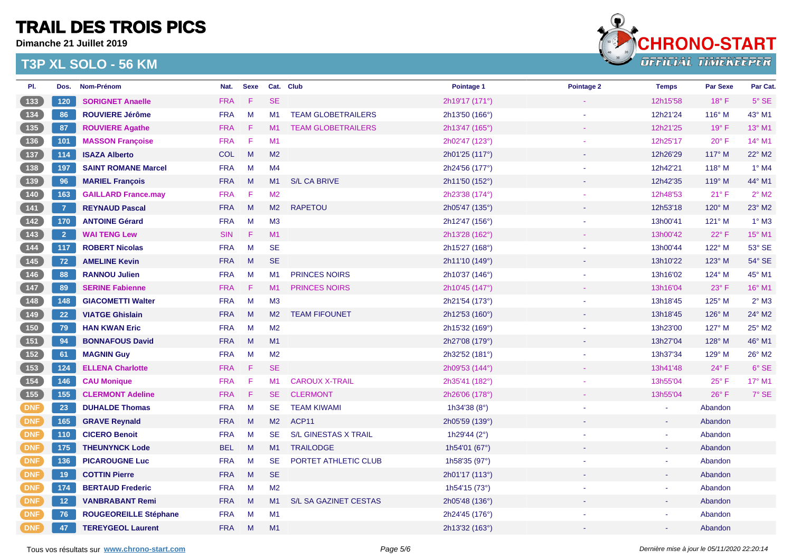**Dimanche 21 Juillet 2019**



| PI.           | Dos.           | Nom-Prénom                   | Nat.       | <b>Sexe</b> |                | Cat. Club                   | Pointage 1            | Pointage 2 | <b>Temps</b> | <b>Par Sexe</b> | Par Cat.        |
|---------------|----------------|------------------------------|------------|-------------|----------------|-----------------------------|-----------------------|------------|--------------|-----------------|-----------------|
| (133)         | 120            | <b>SORIGNET Anaelle</b>      | <b>FRA</b> | F           | <b>SE</b>      |                             | 2h19'17 (171°)        |            | 12h15'58     | $18^{\circ}$ F  | $5^\circ$ SE    |
|               | 86             | <b>ROUVIERE Jérôme</b>       | <b>FRA</b> | M           | M <sub>1</sub> | <b>TEAM GLOBETRAILERS</b>   | 2h13'50 (166°)        |            | 12h21'24     | $116^\circ$ M   | 43° M1          |
| 135           | 87             | <b>ROUVIERE Agathe</b>       | <b>FRA</b> | F.          | M <sub>1</sub> | <b>TEAM GLOBETRAILERS</b>   | 2h13'47 (165°)        |            | 12h21'25     | $19^\circ$ F    | 13° M1          |
| $136$         | 101            | <b>MASSON Françoise</b>      | <b>FRA</b> | $\mathsf F$ | M1             |                             | 2h02'47 (123°)        |            | 12h25'17     | $20^{\circ}$ F  | 14° M1          |
| $\boxed{137}$ | 114            | <b>ISAZA Alberto</b>         | <b>COL</b> | M           | M <sub>2</sub> |                             | 2h01'25 (117°)        |            | 12h26'29     | 117° M          | 22° M2          |
| $138$         | 197            | <b>SAINT ROMANE Marcel</b>   | <b>FRA</b> | M           | M4             |                             | 2h24'56 (177°)        |            | 12h42'21     | $118^\circ$ M   | $1^\circ$ M4    |
| 139           | 96             | <b>MARIEL François</b>       | <b>FRA</b> | M           | M1             | <b>S/L CA BRIVE</b>         | 2h11'50 (152°)        |            | 12h42'35     | $119^\circ$ M   | 44° M1          |
| $140$         | 163            | <b>GAILLARD France.may</b>   | <b>FRA</b> | F           | M <sub>2</sub> |                             | 2h23'38 (174°)        |            | 12h48'53     | $21°$ F         | $2^{\circ}$ M2  |
| (141)         | $\overline{7}$ | <b>REYNAUD Pascal</b>        | <b>FRA</b> | M           | M <sub>2</sub> | <b>RAPETOU</b>              | 2h05'47 (135°)        |            | 12h53'18     | 120° M          | $23^\circ$ M2   |
| $142$         | 170            | <b>ANTOINE Gérard</b>        | <b>FRA</b> | M           | M <sub>3</sub> |                             | 2h12'47 (156°)        |            | 13h00'41     | $121^\circ$ M   | $1^\circ$ M3    |
| 143           | $\overline{2}$ | <b>WAI TENG Lew</b>          | <b>SIN</b> | $\mathsf F$ | M1             |                             | 2h13'28 (162°)        |            | 13h00'42     | 22°F            | 15° M1          |
| $144$         | 117            | <b>ROBERT Nicolas</b>        | <b>FRA</b> | M           | <b>SE</b>      |                             | 2h15'27 (168°)        |            | 13h00'44     | 122° M          | 53° SE          |
| 145           | 72             | <b>AMELINE Kevin</b>         | <b>FRA</b> | M           | <b>SE</b>      |                             | 2h11'10 (149°)        |            | 13h10'22     | $123^\circ$ M   | $54^{\circ}$ SE |
|               | 88             | <b>RANNOU Julien</b>         | <b>FRA</b> | M           | M <sub>1</sub> | <b>PRINCES NOIRS</b>        | 2h10'37 (146°)        |            | 13h16'02     | $124^\circ$ M   | 45° M1          |
| 147           | 89             | <b>SERINE Fabienne</b>       | <b>FRA</b> | F           | M1             | <b>PRINCES NOIRS</b>        | 2h10'45 (147°)        |            | 13h16'04     | $23^\circ$ F    | 16° M1          |
| $148$         | 148            | <b>GIACOMETTI Walter</b>     | <b>FRA</b> | M           | M <sub>3</sub> |                             | 2h21'54 (173°)        |            | 13h18'45     | 125° M          | $2^{\circ}$ M3  |
| (149)         | 22             | <b>VIATGE Ghislain</b>       | <b>FRA</b> | M           | M2             | <b>TEAM FIFOUNET</b>        | 2h12'53 (160°)        |            | 13h18'45     | $126^\circ$ M   | 24° M2          |
| 150           | 79             | <b>HAN KWAN Eric</b>         | <b>FRA</b> | M           | M <sub>2</sub> |                             | 2h15'32 (169°)        |            | 13h23'00     | 127° M          | 25° M2          |
| (151)         | 94             | <b>BONNAFOUS David</b>       | <b>FRA</b> | M           | M1             |                             | 2h27'08 (179°)        |            | 13h27'04     | $128^\circ$ M   | 46° M1          |
| $152$         | 61             | <b>MAGNIN Guy</b>            | <b>FRA</b> | M           | M <sub>2</sub> |                             | 2h32'52 (181°)        |            | 13h37'34     | $129^\circ$ M   | 26° M2          |
| 153           | 124            | <b>ELLENA Charlotte</b>      | <b>FRA</b> | F           | <b>SE</b>      |                             | 2h09'53 (144°)        |            | 13h41'48     | 24°F            | 6° SE           |
| $154$         | 146            | <b>CAU Monique</b>           | <b>FRA</b> | F.          | M <sub>1</sub> | <b>CAROUX X-TRAIL</b>       | 2h35'41 (182°)        |            | 13h55'04     | $25^{\circ}$ F  | $17^{\circ}$ M1 |
| 155           | 155            | <b>CLERMONT Adeline</b>      | <b>FRA</b> | F.          | <b>SE</b>      | <b>CLERMONT</b>             | 2h26'06 (178°)        |            | 13h55'04     | $26^{\circ}$ F  | $7^\circ$ SE    |
| DNF           | 23             | <b>DUHALDE Thomas</b>        | <b>FRA</b> | M           | <b>SE</b>      | <b>TEAM KIWAMI</b>          | 1h34'38 $(8^{\circ})$ |            |              | Abandon         |                 |
| DNF           | 165            | <b>GRAVE Reynald</b>         | <b>FRA</b> | M           | M2             | ACP <sub>11</sub>           | 2h05'59 (139°)        |            |              | Abandon         |                 |
| <b>DNF</b>    | 110            | <b>CICERO Benoit</b>         | <b>FRA</b> | M           | <b>SE</b>      | <b>S/L GINESTAS X TRAIL</b> | 1h29'44 (2°)          |            |              | Abandon         |                 |
| DNF           | 175            | <b>THEUNYNCK Lode</b>        | <b>BEL</b> | M           | M1             | <b>TRAILODGE</b>            | 1h54'01 (67°)         |            |              | Abandon         |                 |
| <b>DNF</b>    | 136            | <b>PICAROUGNE Luc</b>        | <b>FRA</b> | M           | <b>SE</b>      | PORTET ATHLETIC CLUB        | 1h58'35 (97°)         |            |              | Abandon         |                 |
| DNF           | 19             | <b>COTTIN Pierre</b>         | <b>FRA</b> | M           | <b>SE</b>      |                             | 2h01'17 (113°)        |            |              | Abandon         |                 |
| DNF           | 174            | <b>BERTAUD Frederic</b>      | <b>FRA</b> | M           | M <sub>2</sub> |                             | 1h54'15 (73°)         |            |              | Abandon         |                 |
| DNF           | 12             | <b>VANBRABANT Remi</b>       | <b>FRA</b> | M           | M1             | S/L SA GAZINET CESTAS       | 2h05'48 (136°)        |            |              | Abandon         |                 |
| DNF           | 76             | <b>ROUGEOREILLE Stéphane</b> | <b>FRA</b> | M           | M1             |                             | 2h24'45 (176°)        |            |              | Abandon         |                 |
| <b>DNF</b>    | 47             | <b>TEREYGEOL Laurent</b>     | <b>FRA</b> | M           | M1             |                             | 2h13'32 (163°)        |            |              | Abandon         |                 |